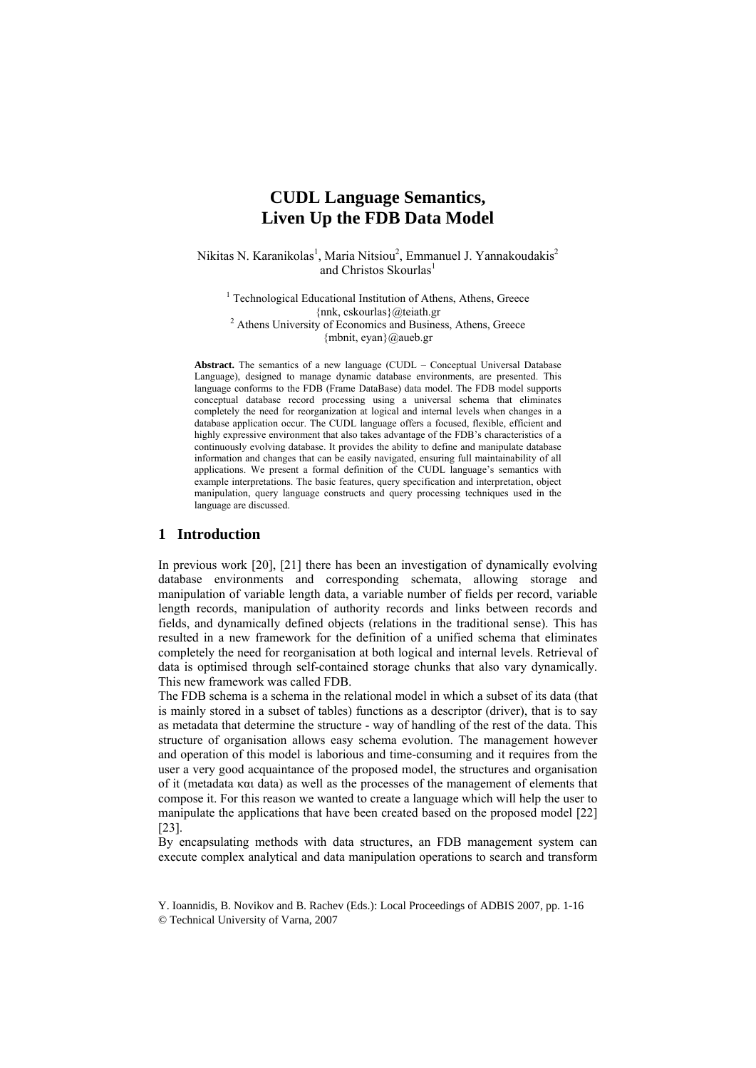# **CUDL Language Semantics, Liven Up the FDB Data Model**

Nikitas N. Karanikolas<sup>1</sup>, Maria Nitsiou<sup>2</sup>, Emmanuel J. Yannakoudakis<sup>2</sup> and Christos Skourlas<sup>1</sup>

<sup>1</sup> Technological Educational Institution of Athens, Athens, Greece {nnk, cskourlas}@teiath.gr 2 Athens University of Economics and Business, Athens, Greece {mbnit, eyan}@aueb.gr

**Abstract.** The semantics of a new language (CUDL – Conceptual Universal Database Language), designed to manage dynamic database environments, are presented. This language conforms to the FDB (Frame DataBase) data model. The FDB model supports conceptual database record processing using a universal schema that eliminates completely the need for reorganization at logical and internal levels when changes in a database application occur. The CUDL language offers a focused, flexible, efficient and highly expressive environment that also takes advantage of the FDB's characteristics of a continuously evolving database. It provides the ability to define and manipulate database information and changes that can be easily navigated, ensuring full maintainability of all applications. We present a formal definition of the CUDL language's semantics with example interpretations. The basic features, query specification and interpretation, object manipulation, query language constructs and query processing techniques used in the language are discussed.

# **1 Introduction**

In previous work [20], [21] there has been an investigation of dynamically evolving database environments and corresponding schemata, allowing storage and manipulation of variable length data, a variable number of fields per record, variable length records, manipulation of authority records and links between records and fields, and dynamically defined objects (relations in the traditional sense). This has resulted in a new framework for the definition of a unified schema that eliminates completely the need for reorganisation at both logical and internal levels. Retrieval of data is optimised through self-contained storage chunks that also vary dynamically. This new framework was called FDB.

The FDB schema is a schema in the relational model in which a subset of its data (that is mainly stored in a subset of tables) functions as a descriptor (driver), that is to say as metadata that determine the structure - way of handling of the rest of the data. This structure of organisation allows easy schema evolution. The management however and operation of this model is laborious and time-consuming and it requires from the user a very good acquaintance of the proposed model, the structures and organisation of it (metadata και data) as well as the processes of the management of elements that compose it. For this reason we wanted to create a language which will help the user to manipulate the applications that have been created based on the proposed model [22] [23].

By encapsulating methods with data structures, an FDB management system can execute complex analytical and data manipulation operations to search and transform

Y. Ioannidis, B. Novikov and B. Rachev (Eds.): Local Proceedings of ADBIS 2007, pp. 1-16 © Technical University of Varna, 2007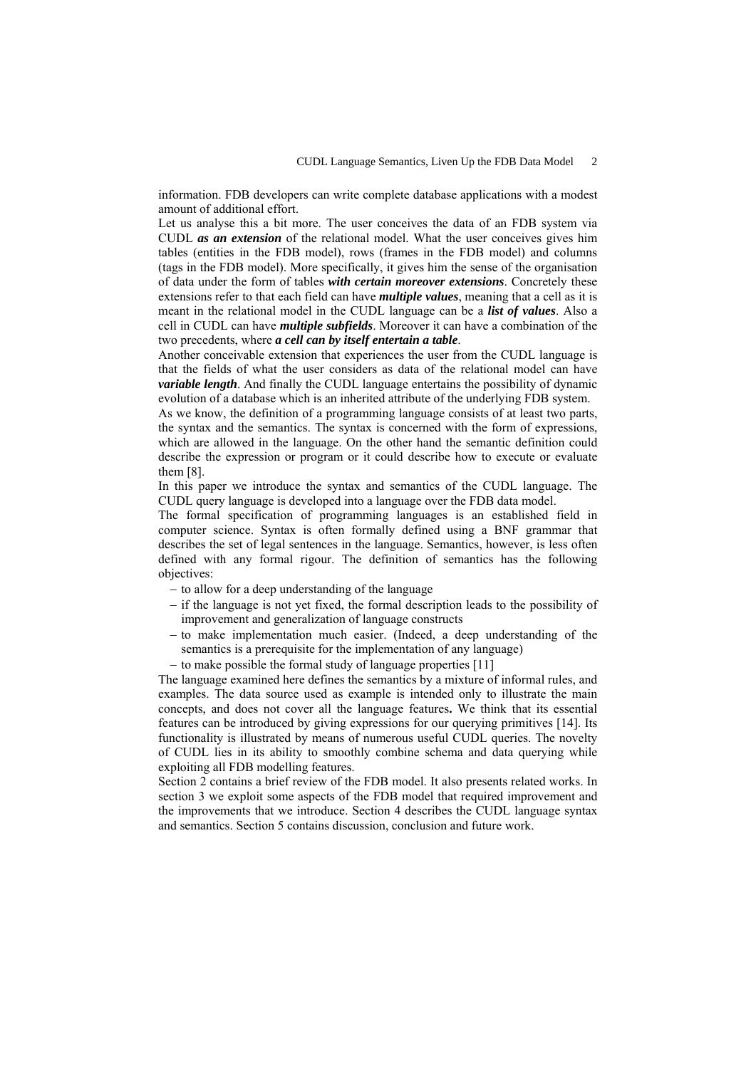information. FDB developers can write complete database applications with a modest amount of additional effort.

Let us analyse this a bit more. The user conceives the data of an FDB system via CUDL *as an extension* of the relational model. What the user conceives gives him tables (entities in the FDB model), rows (frames in the FDB model) and columns (tags in the FDB model). More specifically, it gives him the sense of the organisation of data under the form of tables *with certain moreover extensions*. Concretely these extensions refer to that each field can have *multiple values*, meaning that a cell as it is meant in the relational model in the CUDL language can be a *list of values*. Also a cell in CUDL can have *multiple subfields*. Moreover it can have a combination of the two precedents, where *a cell can by itself entertain a table*.

Another conceivable extension that experiences the user from the CUDL language is that the fields of what the user considers as data of the relational model can have *variable length*. And finally the CUDL language entertains the possibility of dynamic evolution of a database which is an inherited attribute of the underlying FDB system.

As we know, the definition of a programming language consists of at least two parts, the syntax and the semantics. The syntax is concerned with the form of expressions, which are allowed in the language. On the other hand the semantic definition could describe the expression or program or it could describe how to execute or evaluate them [8].

In this paper we introduce the syntax and semantics of the CUDL language. The CUDL query language is developed into a language over the FDB data model.

The formal specification of programming languages is an established field in computer science. Syntax is often formally defined using a BNF grammar that describes the set of legal sentences in the language. Semantics, however, is less often defined with any formal rigour. The definition of semantics has the following objectives:

- − to allow for a deep understanding of the language
- − if the language is not yet fixed, the formal description leads to the possibility of improvement and generalization of language constructs
- − to make implementation much easier. (Indeed, a deep understanding of the semantics is a prerequisite for the implementation of any language)
- − to make possible the formal study of language properties [11]

The language examined here defines the semantics by a mixture of informal rules, and examples. The data source used as example is intended only to illustrate the main concepts, and does not cover all the language features**.** We think that its essential features can be introduced by giving expressions for our querying primitives [14]. Its functionality is illustrated by means of numerous useful CUDL queries. The novelty of CUDL lies in its ability to smoothly combine schema and data querying while exploiting all FDB modelling features.

Section 2 contains a brief review of the FDB model. It also presents related works. In section 3 we exploit some aspects of the FDB model that required improvement and the improvements that we introduce. Section 4 describes the CUDL language syntax and semantics. Section 5 contains discussion, conclusion and future work.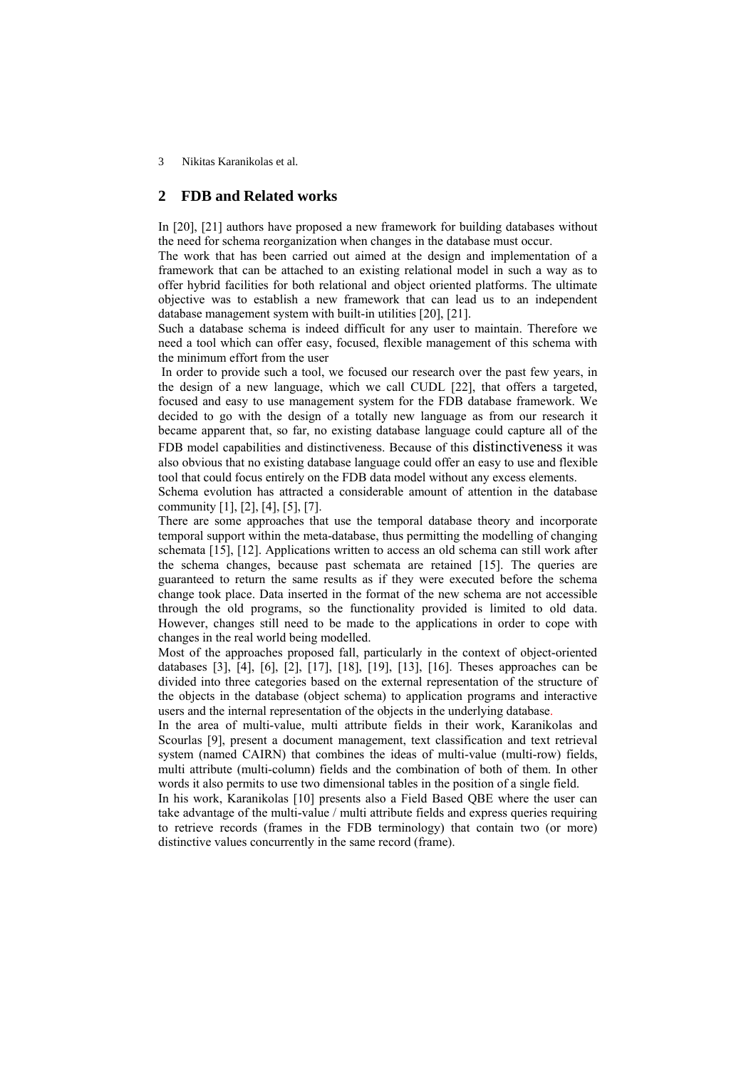# **2 FDB and Related works**

In [20], [21] authors have proposed a new framework for building databases without the need for schema reorganization when changes in the database must occur.

The work that has been carried out aimed at the design and implementation of a framework that can be attached to an existing relational model in such a way as to offer hybrid facilities for both relational and object oriented platforms. The ultimate objective was to establish a new framework that can lead us to an independent database management system with built-in utilities [20], [21].

Such a database schema is indeed difficult for any user to maintain. Therefore we need a tool which can offer easy, focused, flexible management of this schema with the minimum effort from the user

 In order to provide such a tool, we focused our research over the past few years, in the design of a new language, which we call CUDL [22], that offers a targeted, focused and easy to use management system for the FDB database framework. We decided to go with the design of a totally new language as from our research it became apparent that, so far, no existing database language could capture all of the FDB model capabilities and distinctiveness. Because of this distinctiveness it was also obvious that no existing database language could offer an easy to use and flexible tool that could focus entirely on the FDB data model without any excess elements.

Schema evolution has attracted a considerable amount of attention in the database community [1], [2], [4], [5], [7].

There are some approaches that use the temporal database theory and incorporate temporal support within the meta-database, thus permitting the modelling of changing schemata [15], [12]. Applications written to access an old schema can still work after the schema changes, because past schemata are retained [15]. The queries are guaranteed to return the same results as if they were executed before the schema change took place. Data inserted in the format of the new schema are not accessible through the old programs, so the functionality provided is limited to old data. However, changes still need to be made to the applications in order to cope with changes in the real world being modelled.

Most of the approaches proposed fall, particularly in the context of object-oriented databases [3], [4], [6], [2], [17], [18], [19], [13], [16]. Theses approaches can be divided into three categories based on the external representation of the structure of the objects in the database (object schema) to application programs and interactive users and the internal representation of the objects in the underlying database.

In the area of multi-value, multi attribute fields in their work, Karanikolas and Scourlas [9], present a document management, text classification and text retrieval system (named CAIRN) that combines the ideas of multi-value (multi-row) fields, multi attribute (multi-column) fields and the combination of both of them. In other words it also permits to use two dimensional tables in the position of a single field.

In his work, Karanikolas [10] presents also a Field Based QBE where the user can take advantage of the multi-value / multi attribute fields and express queries requiring to retrieve records (frames in the FDB terminology) that contain two (or more) distinctive values concurrently in the same record (frame).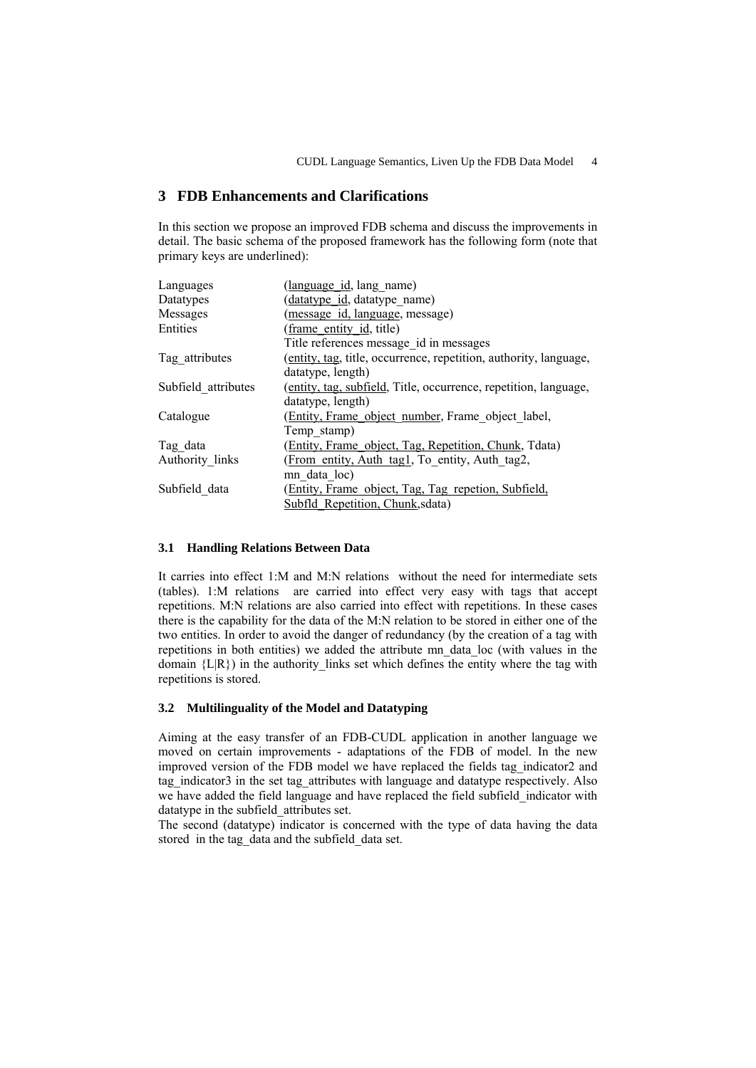# **3 FDB Enhancements and Clarifications**

In this section we propose an improved FDB schema and discuss the improvements in detail. The basic schema of the proposed framework has the following form (note that primary keys are underlined):

| Languages           | (language id, lang name)                                          |
|---------------------|-------------------------------------------------------------------|
| Datatypes           | datatype id, datatype name)                                       |
| Messages            | (message id, language, message)                                   |
| Entities            | (frame entity id, title)                                          |
|                     | Title references message id in messages                           |
| Tag_attributes      | (entity, tag, title, occurrence, repetition, authority, language, |
|                     | datatype, length)                                                 |
| Subfield attributes | (entity, tag, subfield, Title, occurrence, repetition, language,  |
|                     | datatype, length)                                                 |
| Catalogue           | (Entity, Frame object number, Frame object label,                 |
|                     | Temp stamp)                                                       |
| Tag data            | (Entity, Frame object, Tag, Repetition, Chunk, Tdata)             |
| Authority links     | (From entity, Auth tag1, To entity, Auth tag2,                    |
|                     | mn data loc)                                                      |
| Subfield data       | (Entity, Frame object, Tag, Tag repetion, Subfield,               |
|                     | Subfld Repetition, Chunk, sdata)                                  |

# **3.1 Handling Relations Between Data**

It carries into effect 1:M and M:N relations without the need for intermediate sets (tables). 1:M relations are carried into effect very easy with tags that accept repetitions. M:N relations are also carried into effect with repetitions. In these cases there is the capability for the data of the M:N relation to be stored in either one of the two entities. In order to avoid the danger of redundancy (by the creation of a tag with repetitions in both entities) we added the attribute mn\_data\_loc (with values in the domain  ${L(R)}$  in the authority links set which defines the entity where the tag with repetitions is stored.

### **3.2 Multilinguality of the Model and Datatyping**

Aiming at the easy transfer of an FDB-CUDL application in another language we moved on certain improvements - adaptations of the FDB of model. In the new improved version of the FDB model we have replaced the fields tag\_indicator2 and tag indicator3 in the set tag attributes with language and datatype respectively. Also we have added the field language and have replaced the field subfield\_indicator with datatype in the subfield\_attributes set.

The second (datatype) indicator is concerned with the type of data having the data stored in the tag\_data and the subfield\_data set.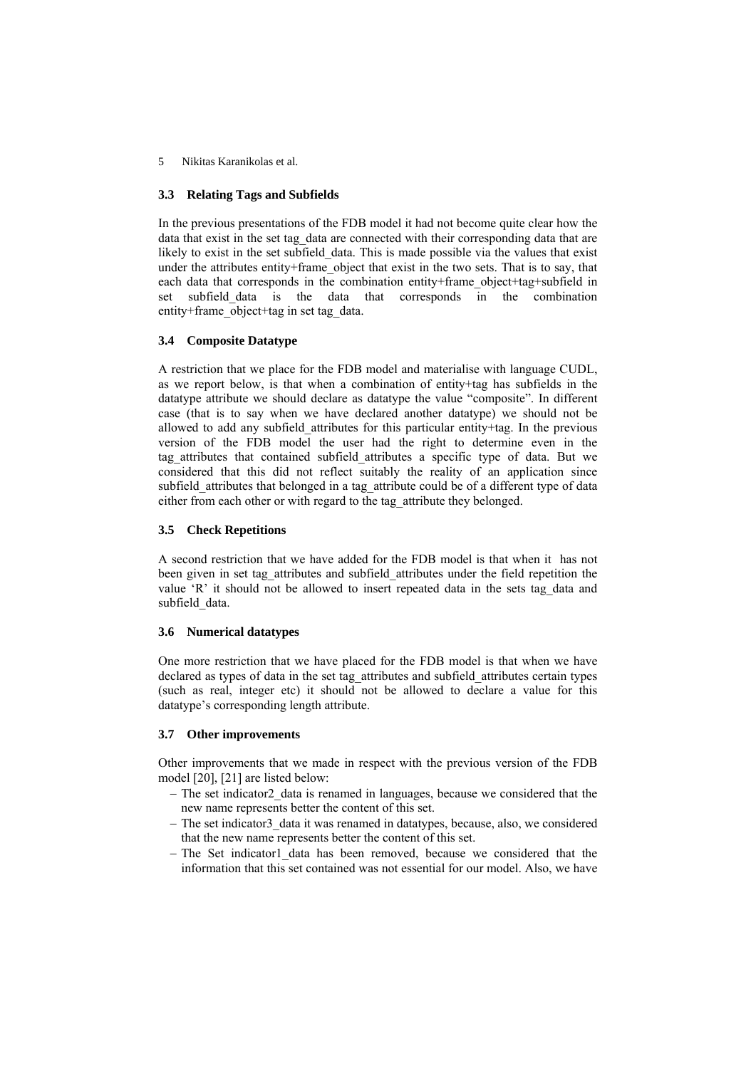# **3.3 Relating Tags and Subfields**

In the previous presentations of the FDB model it had not become quite clear how the data that exist in the set tag\_data are connected with their corresponding data that are likely to exist in the set subfield\_data. This is made possible via the values that exist under the attributes entity+frame\_object that exist in the two sets. That is to say, that each data that corresponds in the combination entity+frame object+tag+subfield in set subfield data is the data that corresponds in the combination entity+frame\_object+tag in set tag\_data.

# **3.4 Composite Datatype**

A restriction that we place for the FDB model and materialise with language CUDL, as we report below, is that when a combination of entity+tag has subfields in the datatype attribute we should declare as datatype the value "composite". In different case (that is to say when we have declared another datatype) we should not be allowed to add any subfield\_attributes for this particular entity+tag. In the previous version of the FDB model the user had the right to determine even in the tag\_attributes that contained subfield\_attributes a specific type of data. But we considered that this did not reflect suitably the reality of an application since subfield\_attributes that belonged in a tag\_attribute could be of a different type of data either from each other or with regard to the tag\_attribute they belonged.

# **3.5 Check Repetitions**

A second restriction that we have added for the FDB model is that when it has not been given in set tag\_attributes and subfield\_attributes under the field repetition the value 'R' it should not be allowed to insert repeated data in the sets tag data and subfield data.

### **3.6 Numerical datatypes**

One more restriction that we have placed for the FDB model is that when we have declared as types of data in the set tag\_attributes and subfield\_attributes certain types (such as real, integer etc) it should not be allowed to declare a value for this datatype's corresponding length attribute.

### **3.7 Other improvements**

Other improvements that we made in respect with the previous version of the FDB model [20], [21] are listed below:

- − The set indicator2\_data is renamed in languages, because we considered that the new name represents better the content of this set.
- − The set indicator3\_data it was renamed in datatypes, because, also, we considered that the new name represents better the content of this set.
- − The Set indicator1\_data has been removed, because we considered that the information that this set contained was not essential for our model. Also, we have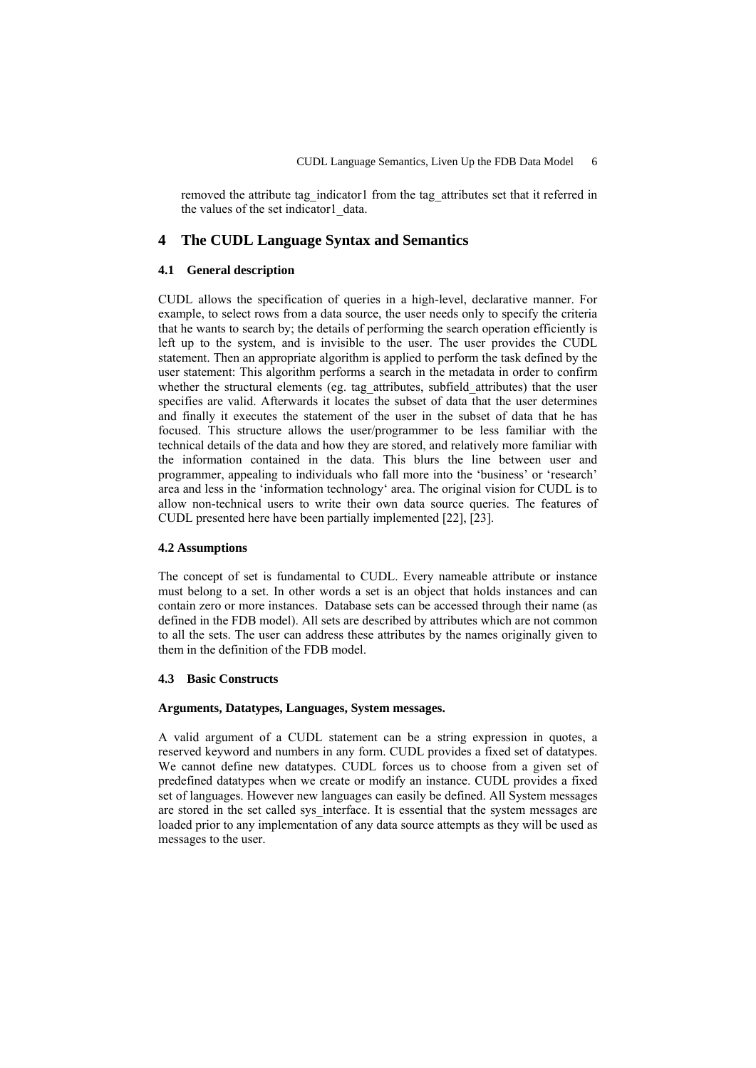removed the attribute tag\_indicator1 from the tag\_attributes set that it referred in the values of the set indicator1 data.

# **4 The CUDL Language Syntax and Semantics**

# **4.1 General description**

CUDL allows the specification of queries in a high-level, declarative manner. For example, to select rows from a data source, the user needs only to specify the criteria that he wants to search by; the details of performing the search operation efficiently is left up to the system, and is invisible to the user. The user provides the CUDL statement. Then an appropriate algorithm is applied to perform the task defined by the user statement: This algorithm performs a search in the metadata in order to confirm whether the structural elements (eg. tag\_attributes, subfield\_attributes) that the user specifies are valid. Afterwards it locates the subset of data that the user determines and finally it executes the statement of the user in the subset of data that he has focused. This structure allows the user/programmer to be less familiar with the technical details of the data and how they are stored, and relatively more familiar with the information contained in the data. This blurs the line between user and programmer, appealing to individuals who fall more into the 'business' or 'research' area and less in the 'information technology' area. The original vision for CUDL is to allow non-technical users to write their own data source queries. The features of CUDL presented here have been partially implemented [22], [23].

### **4.2 Assumptions**

The concept of set is fundamental to CUDL. Every nameable attribute or instance must belong to a set. In other words a set is an object that holds instances and can contain zero or more instances. Database sets can be accessed through their name (as defined in the FDB model). All sets are described by attributes which are not common to all the sets. The user can address these attributes by the names originally given to them in the definition of the FDB model.

### **4.3 Basic Constructs**

### **Arguments, Datatypes, Languages, System messages.**

A valid argument of a CUDL statement can be a string expression in quotes, a reserved keyword and numbers in any form. CUDL provides a fixed set of datatypes. We cannot define new datatypes. CUDL forces us to choose from a given set of predefined datatypes when we create or modify an instance. CUDL provides a fixed set of languages. However new languages can easily be defined. All System messages are stored in the set called sys interface. It is essential that the system messages are loaded prior to any implementation of any data source attempts as they will be used as messages to the user.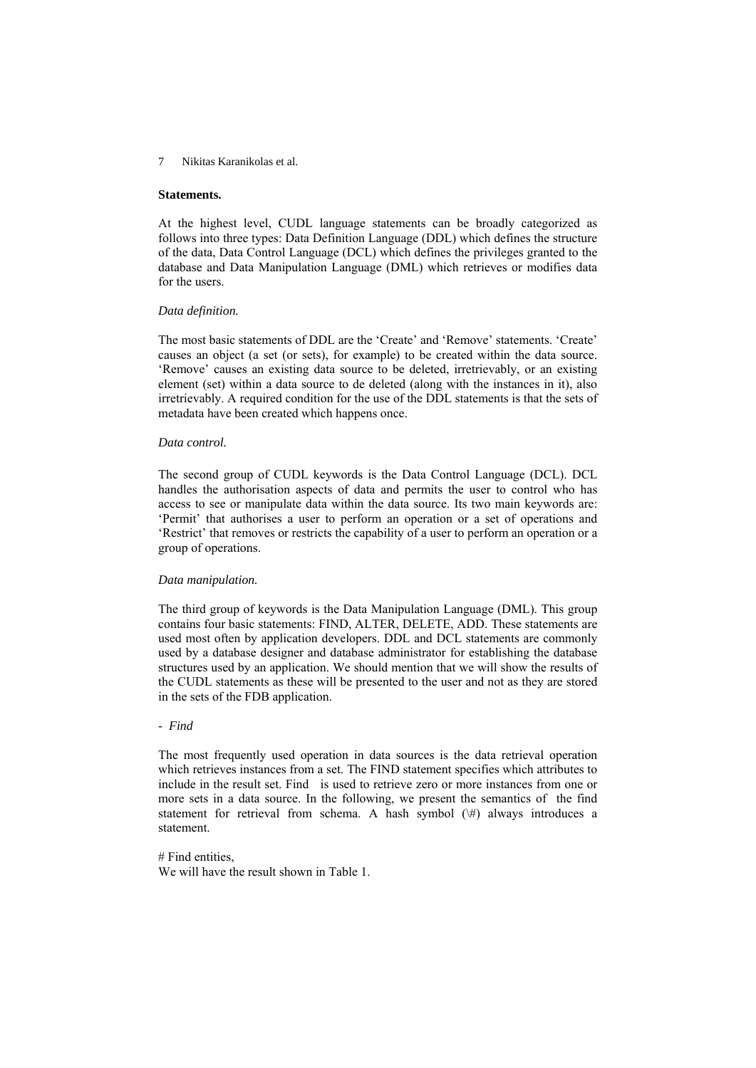#### **Statements.**

At the highest level, CUDL language statements can be broadly categorized as follows into three types: Data Definition Language (DDL) which defines the structure of the data, Data Control Language (DCL) which defines the privileges granted to the database and Data Manipulation Language (DML) which retrieves or modifies data for the users.

#### *Data definition.*

The most basic statements of DDL are the 'Create' and 'Remove' statements. 'Create' causes an object (a set (or sets), for example) to be created within the data source. 'Remove' causes an existing data source to be deleted, irretrievably, or an existing element (set) within a data source to de deleted (along with the instances in it), also irretrievably. A required condition for the use of the DDL statements is that the sets of metadata have been created which happens once.

#### *Data control.*

The second group of CUDL keywords is the Data Control Language (DCL). DCL handles the authorisation aspects of data and permits the user to control who has access to see or manipulate data within the data source. Its two main keywords are: 'Permit' that authorises a user to perform an operation or a set of operations and 'Restrict' that removes or restricts the capability of a user to perform an operation or a group of operations.

#### *Data manipulation.*

The third group of keywords is the Data Manipulation Language (DML). This group contains four basic statements: FIND, ALTER, DELETE, ADD. These statements are used most often by application developers. DDL and DCL statements are commonly used by a database designer and database administrator for establishing the database structures used by an application. We should mention that we will show the results of the CUDL statements as these will be presented to the user and not as they are stored in the sets of the FDB application.

# *- Find*

The most frequently used operation in data sources is the data retrieval operation which retrieves instances from a set. The FIND statement specifies which attributes to include in the result set. Find is used to retrieve zero or more instances from one or more sets in a data source. In the following, we present the semantics of the find statement for retrieval from schema. A hash symbol  $(\#)$  always introduces a statement.

#### # Find entities,

We will have the result shown in Table 1.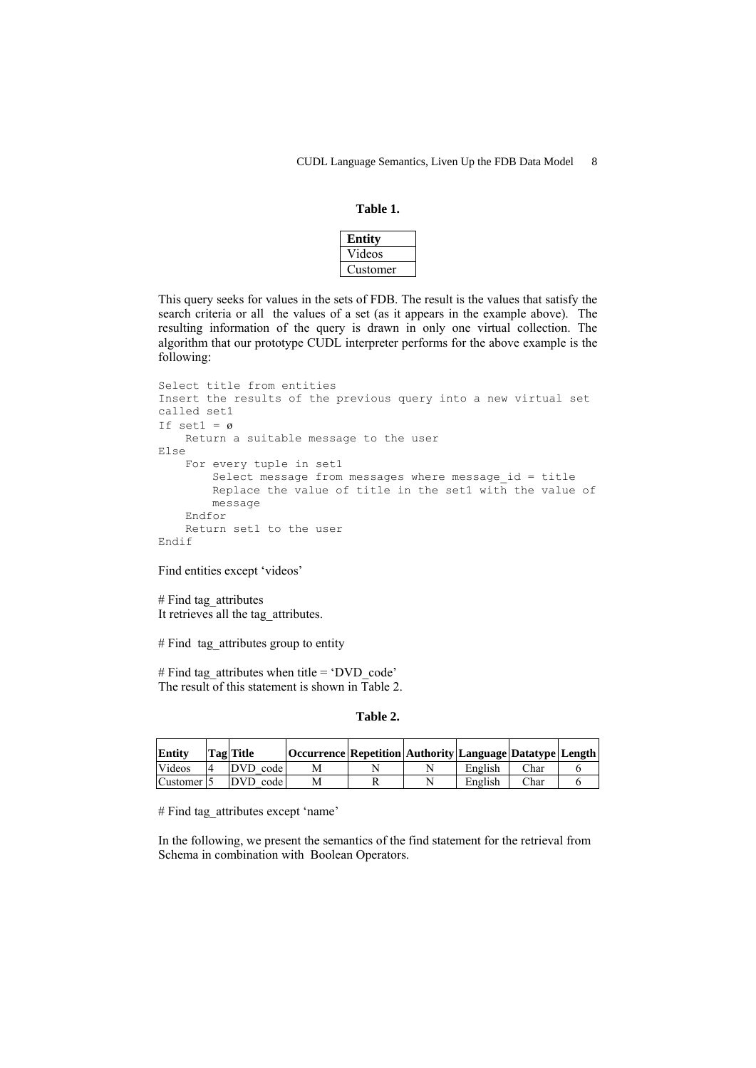# **Table 1.**

| Entity  |
|---------|
| Videos  |
| ustomer |

This query seeks for values in the sets of FDB. The result is the values that satisfy the search criteria or all the values of a set (as it appears in the example above). The resulting information of the query is drawn in only one virtual collection. The algorithm that our prototype CUDL interpreter performs for the above example is the following:

```
Select title from entities 
Insert the results of the previous query into a new virtual set 
called set1 
If set1 = \emptyset Return a suitable message to the user 
Else 
     For every tuple in set1 
        Select message from messages where message id = title Replace the value of title in the set1 with the value of 
        message 
     Endfor 
     Return set1 to the user 
Endif
```
Find entities except 'videos'

# Find tag\_attributes It retrieves all the tag\_attributes.

# Find tag\_attributes group to entity

# Find tag\_attributes when title = 'DVD\_code' The result of this statement is shown in Table 2.

# **Table 2.**

| <b>Entity</b>          | Tag Title | Occurrence   Repetition   Authority   Language   Datatype   Length |  |         |      |  |
|------------------------|-----------|--------------------------------------------------------------------|--|---------|------|--|
| Videos                 | DVD code  |                                                                    |  | English | Char |  |
| Customer <sup>15</sup> | DVD code  |                                                                    |  | English | Char |  |

# Find tag\_attributes except 'name'

In the following, we present the semantics of the find statement for the retrieval from Schema in combination with Boolean Operators.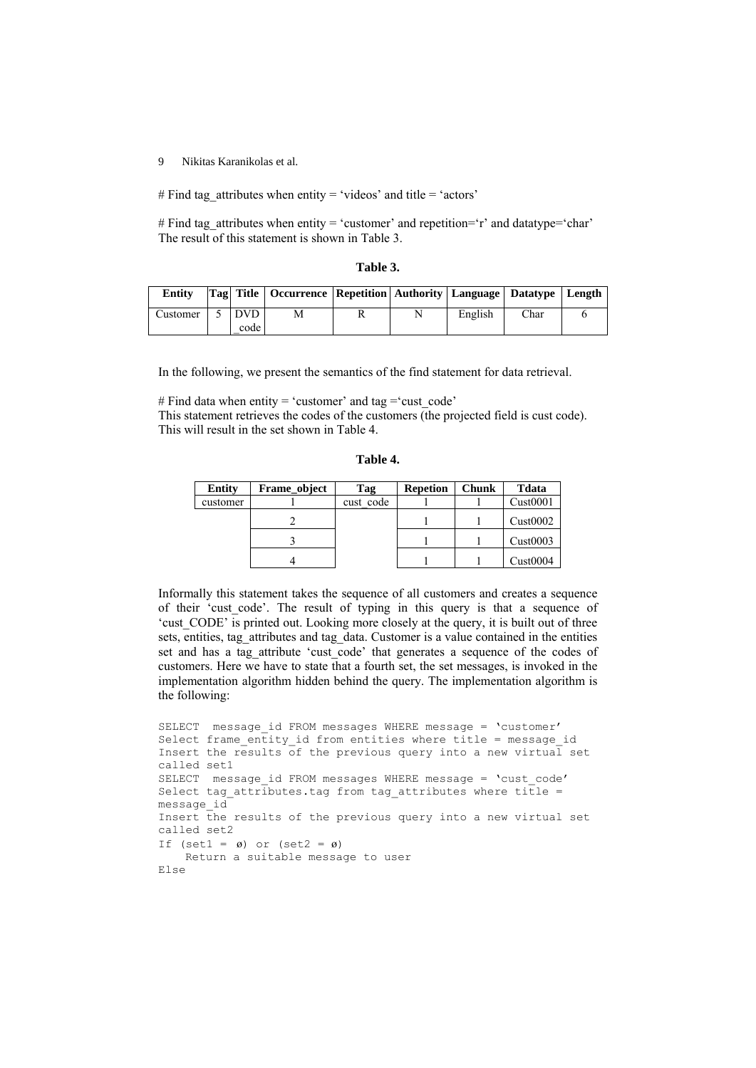# Find tag\_attributes when entity = 'videos' and title = 'actors'

# Find tag\_attributes when entity = 'customer' and repetition='r' and datatype='char' The result of this statement is shown in Table 3.

| 'able |  |
|-------|--|
|-------|--|

| <b>Entity</b> |                 | Tag  Title   Occurrence   Repetition   Authority   Language   Datatype   Length |  |         |      |  |
|---------------|-----------------|---------------------------------------------------------------------------------|--|---------|------|--|
| Customer      | I DVD I<br>code | M                                                                               |  | English | Char |  |

In the following, we present the semantics of the find statement for data retrieval.

# Find data when entity = 'customer' and tag = 'cust code' This statement retrieves the codes of the customers (the projected field is cust code). This will result in the set shown in Table 4.

|  |  | anı |  |
|--|--|-----|--|
|--|--|-----|--|

| <b>Entity</b> | Frame object | Tag       | <b>Repetion</b> | <b>Chunk</b> | <b>T</b> data |
|---------------|--------------|-----------|-----------------|--------------|---------------|
| customer      |              | cust code |                 |              | Cust0001      |
|               |              |           |                 |              | Cust0002      |
|               |              |           |                 |              | Cust0003      |
|               |              |           |                 |              | Cust0004      |

Informally this statement takes the sequence of all customers and creates a sequence of their 'cust\_code'. The result of typing in this query is that a sequence of 'cust CODE' is printed out. Looking more closely at the query, it is built out of three sets, entities, tag\_attributes and tag\_data. Customer is a value contained in the entities set and has a tag\_attribute 'cust\_code' that generates a sequence of the codes of customers. Here we have to state that a fourth set, the set messages, is invoked in the implementation algorithm hidden behind the query. The implementation algorithm is the following:

```
SELECT message id FROM messages WHERE message = 'customer'
Select frame entity id from entities where title = message id
Insert the results of the previous query into a new virtual set
called set1 
SELECT message id FROM messages WHERE message = 'cust code'
Select tag_attributes.tag from tag_attributes where title =
message_id 
Insert the results of the previous query into a new virtual set 
called set2 
If (set1 = \varnothing) or (set2 = \varnothing)
     Return a suitable message to user 
Else
```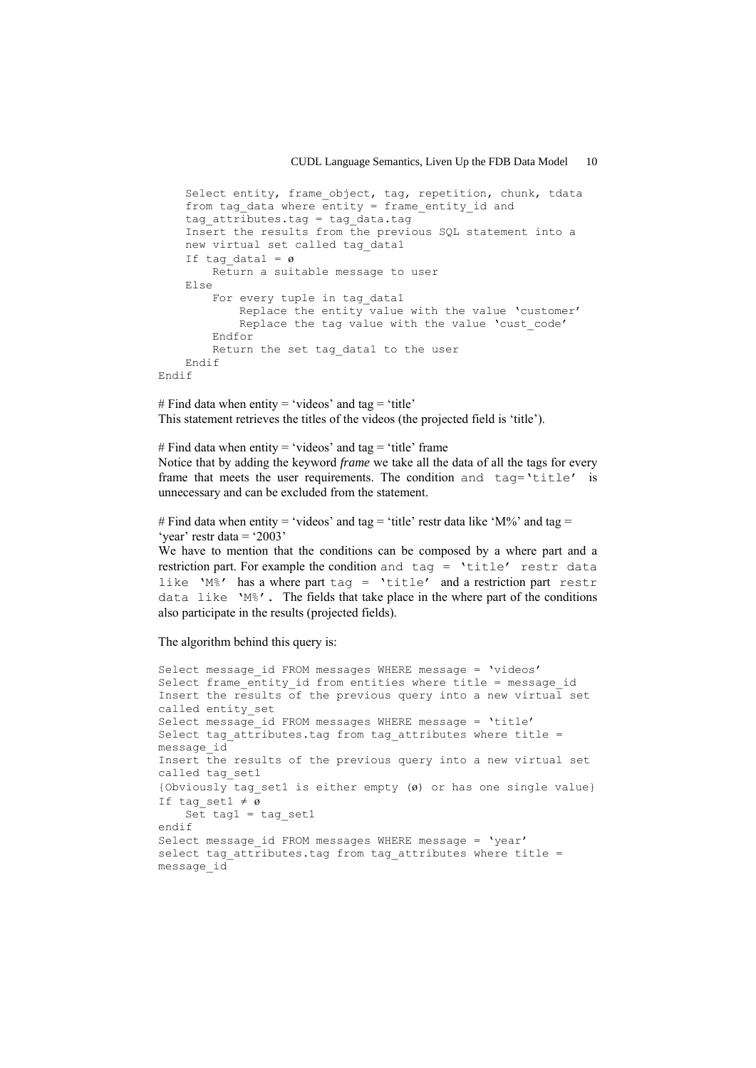```
 Select entity, frame_object, tag, repetition, chunk, tdata 
    from tag data where entity = frame entity id and
    tag attributes.tag = tag data.tag
     Insert the results from the previous SQL statement into a 
    new virtual set called tag_data1 
    If tag datal = \varnothing Return a suitable message to user 
     Else 
        For every tuple in tag data1
             Replace the entity value with the value 'customer' 
            Replace the tag value with the value 'cust code'
         Endfor 
        Return the set tag data1 to the user
     Endif 
Endif
```
# Find data when entity = 'videos' and tag = 'title' This statement retrieves the titles of the videos (the projected field is 'title').

# Find data when entity = 'videos' and tag = 'title' frame Notice that by adding the keyword *frame* we take all the data of all the tags for every frame that meets the user requirements. The condition and tag='title' is unnecessary and can be excluded from the statement.

```
# Find data when entity = 'videos' and tag = 'title' restr data like 'M%' and tag =
'vear' restr data = '2003'
```
We have to mention that the conditions can be composed by a where part and a restriction part. For example the condition and tag = 'title' restr data like 'M%' has a where part tag = 'title' and a restriction part restr data like 'M%'. The fields that take place in the where part of the conditions also participate in the results (projected fields).

The algorithm behind this query is:

```
Select message id FROM messages WHERE message = 'videos'
Select frame entity id from entities where title = message id
Insert the results of the previous query into a new virtual set 
called entity_set 
Select message id FROM messages WHERE message = 'title'
Select tag attributes.tag from tag attributes where title =
message_id 
Insert the results of the previous query into a new virtual set 
called tag_set1 
{Obviously tag_set1 is either empty (ø) or has one single value} 
If tag set1 \neq \overline{\emptyset}Set tag1 = tag set1
endif 
Select message_id FROM messages WHERE message = 'year' 
select tag attributes.tag from tag attributes where title =
message id
```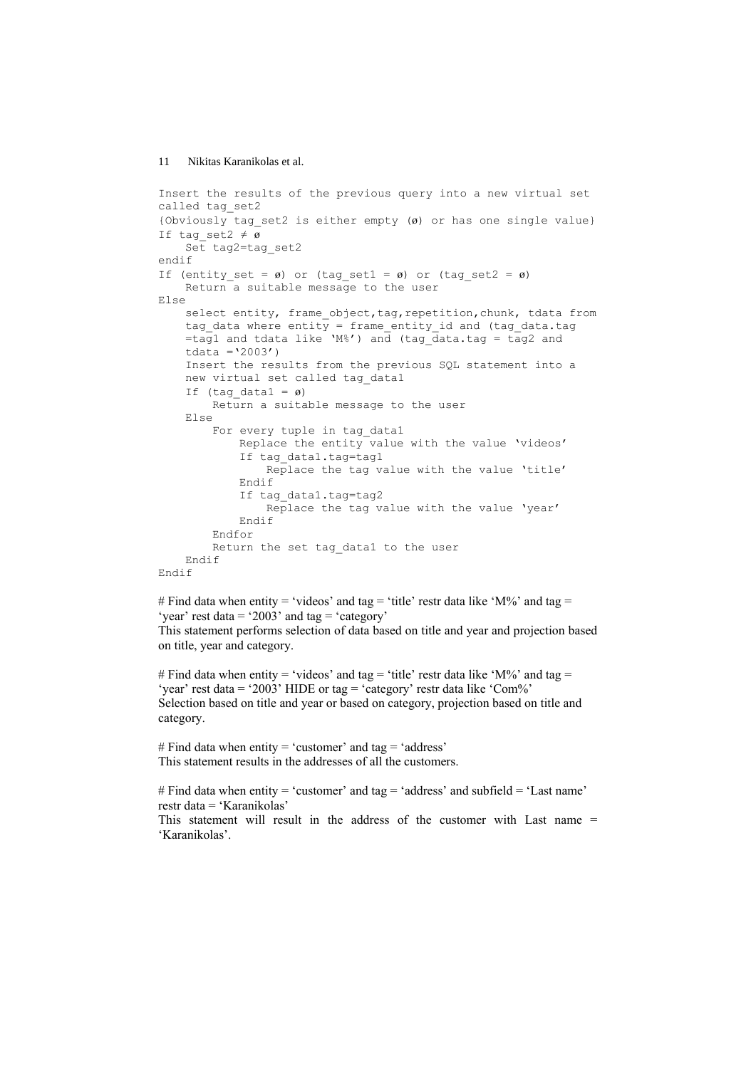```
Insert the results of the previous query into a new virtual set 
called tag_set2 
{Obviously tag set2 is either empty (\emptyset) or has one single value}
If tag set2 \neq \emptyset Set tag2=tag_set2 
endif 
If (entity set = ø) or (tag_set1 = ø) or (tag_set2 = ø)
     Return a suitable message to the user 
Else 
    select entity, frame_object,tag,repetition, chunk, tdata from
    tag data where entity = frame entity id and (tag data.tag
    \frac{1}{\pi} =tag1 and tdata like 'M%') and (tag_data.tag = tag2 and
    tdata ='2003')
     Insert the results from the previous SQL statement into a 
    new virtual set called tag_data1 
    If (tag data1 = \varnothing)
         Return a suitable message to the user 
     Else 
        For every tuple in tag data1
              Replace the entity value with the value 'videos' 
              If tag_data1.tag=tag1 
                  Replace the tag value with the value 'title' 
              Endif 
              If tag_data1.tag=tag2 
                  Replace the tag value with the value 'year' 
             Endif 
         Endfor 
        Return the set tag data1 to the user
     Endif 
Endif
```
# Find data when entity = 'videos' and tag = 'title' restr data like 'M%' and tag = 'year' rest data = '2003' and tag = 'category' This statement performs selection of data based on title and year and projection based on title, year and category.

# Find data when entity = 'videos' and tag = 'title' restr data like 'M%' and tag = 'year' rest data = '2003' HIDE or tag = 'category' restr data like 'Com%' Selection based on title and year or based on category, projection based on title and category.

# Find data when entity = 'customer' and tag = 'address' This statement results in the addresses of all the customers.

# Find data when entity = 'customer' and tag = 'address' and subfield = 'Last name' restr data = 'Karanikolas'

This statement will result in the address of the customer with Last name = 'Karanikolas'.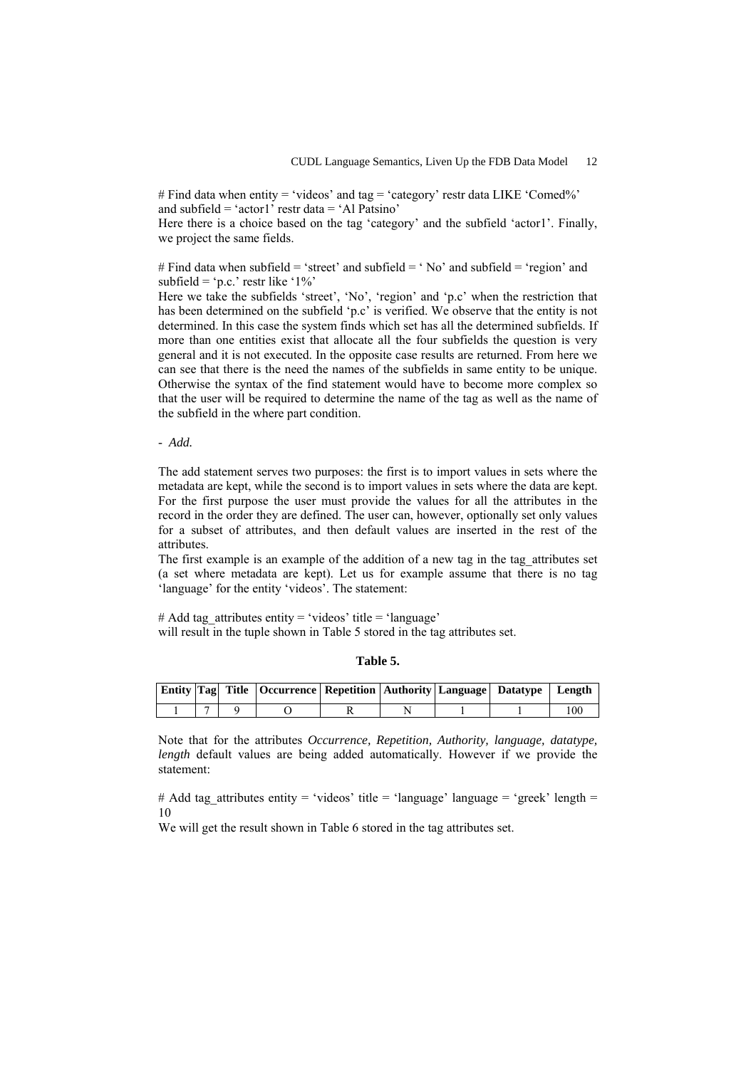# Find data when entity = 'videos' and tag = 'category' restr data LIKE 'Comed%' and subfield = 'actor1' restr data = 'Al Patsino'

Here there is a choice based on the tag 'category' and the subfield 'actor1'. Finally, we project the same fields.

# Find data when subfield = 'street' and subfield = ' Nο' and subfield = 'region' and subfield = 'p.c.' restr like ' $1\%$ '

Here we take the subfields 'street', 'No', 'region' and 'p.c' when the restriction that has been determined on the subfield 'p.c' is verified. We observe that the entity is not determined. In this case the system finds which set has all the determined subfields. If more than one entities exist that allocate all the four subfields the question is very general and it is not executed. In the opposite case results are returned. From here we can see that there is the need the names of the subfields in same entity to be unique. Otherwise the syntax of the find statement would have to become more complex so that the user will be required to determine the name of the tag as well as the name of the subfield in the where part condition.

*- Add.* 

The add statement serves two purposes: the first is to import values in sets where the metadata are kept, while the second is to import values in sets where the data are kept. For the first purpose the user must provide the values for all the attributes in the record in the order they are defined. The user can, however, optionally set only values for a subset of attributes, and then default values are inserted in the rest of the attributes.

The first example is an example of the addition of a new tag in the tag\_attributes set (a set where metadata are kept). Let us for example assume that there is no tag 'language' for the entity 'videos'. The statement:

# Add tag\_attributes entity = 'videos' title = 'language' will result in the tuple shown in Table 5 stored in the tag attributes set.

| п<br>Ш |
|--------|
|--------|

|  | Entity   Tag  Title   Occurrence   Repetition   Authority   Language   Datatype   Length |  |  |  |
|--|------------------------------------------------------------------------------------------|--|--|--|
|  |                                                                                          |  |  |  |

Note that for the attributes *Occurrence, Repetition, Authority, language, datatype, length* default values are being added automatically. However if we provide the statement:

# Add tag\_attributes entity = 'videos' title = 'language' language = 'greek' length = 10

We will get the result shown in Table 6 stored in the tag attributes set.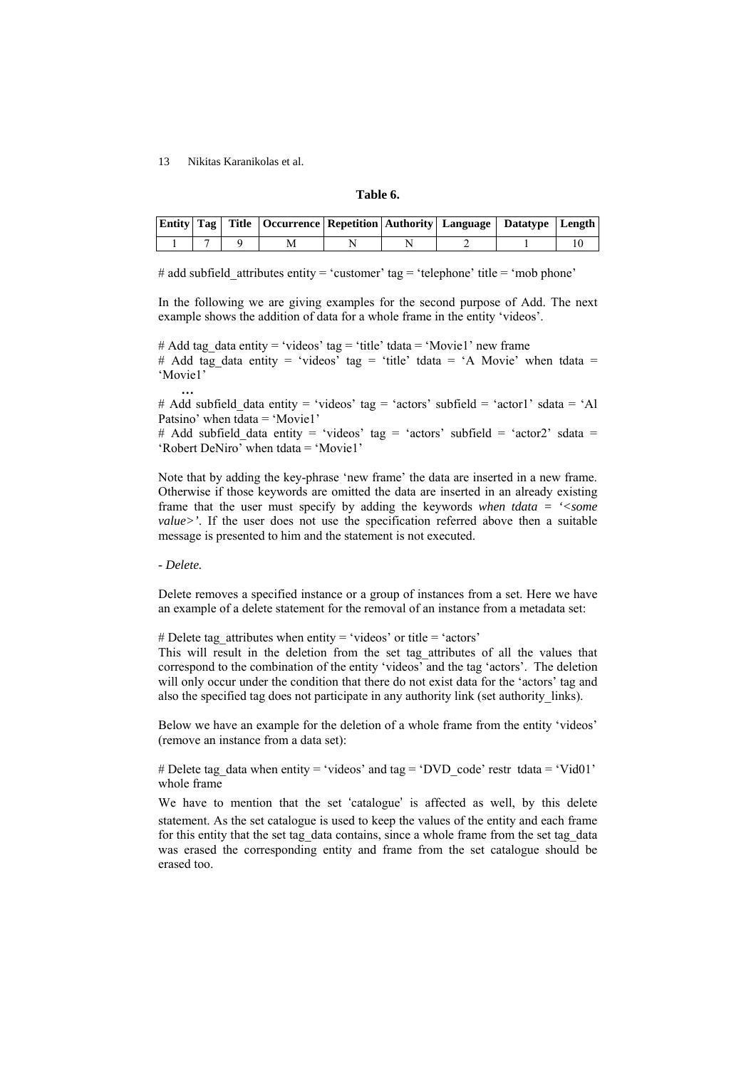### **Table 6.**

|  | <b>Entity   Tag   Title   Occurrence   Repetition   Authority   Language   Datatype   Length  </b> |  |  |  |
|--|----------------------------------------------------------------------------------------------------|--|--|--|
|  |                                                                                                    |  |  |  |

# add subfield attributes entity = 'customer' tag = 'telephone' title = 'mob phone'

In the following we are giving examples for the second purpose of Add. The next example shows the addition of data for a whole frame in the entity 'videos'.

# Add tag\_data entity = 'videos' tag = 'title' tdata = 'Movie1' new frame # Add tag\_data entity = 'videos' tag = 'title' tdata = 'A Movie' when tdata = 'Movie1' **…** 

# Add subfield data entity = 'videos' tag = 'actors' subfield = 'actor1' sdata = 'Al Patsino' when tdata = 'Movie1'

# Add subfield data entity = 'videos' tag = 'actors' subfield = 'actor2' sdata = 'Robert DeNiro' when tdata = 'Movie1'

Note that by adding the key-phrase 'new frame' the data are inserted in a new frame. Otherwise if those keywords are omitted the data are inserted in an already existing frame that the user must specify by adding the keywords *when tdata = '<some value>'*. If the user does not use the specification referred above then a suitable message is presented to him and the statement is not executed.

### *- Delete.*

Delete removes a specified instance or a group of instances from a set. Here we have an example of a delete statement for the removal of an instance from a metadata set:

# Delete tag\_attributes when entity = 'videos' or title = 'actors'

This will result in the deletion from the set tag\_attributes of all the values that correspond to the combination of the entity 'videos' and the tag 'actors'. The deletion will only occur under the condition that there do not exist data for the 'actors' tag and also the specified tag does not participate in any authority link (set authority\_links).

Below we have an example for the deletion of a whole frame from the entity 'videos' (remove an instance from a data set):

# Delete tag\_data when entity = 'videos' and tag = 'DVD\_code' restr tdata = 'Vid01' whole frame

We have to mention that the set 'catalogue' is affected as well, by this delete statement. As the set catalogue is used to keep the values of the entity and each frame for this entity that the set tag\_data contains, since a whole frame from the set tag\_data was erased the corresponding entity and frame from the set catalogue should be erased too.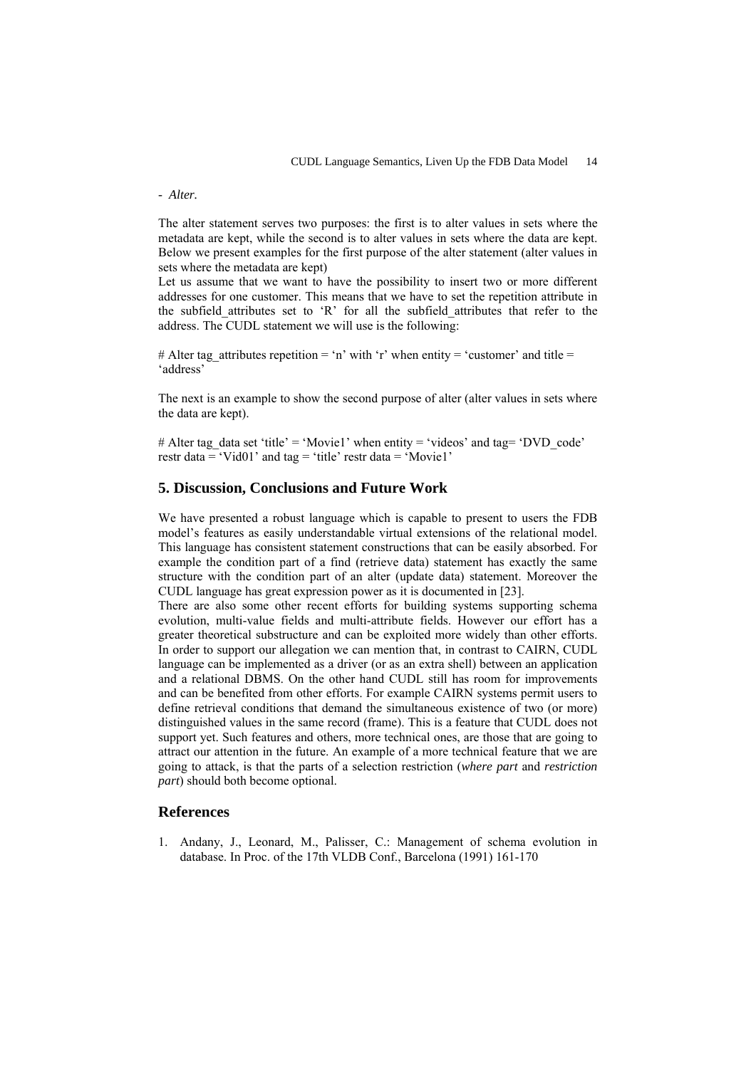### *- Alter.*

The alter statement serves two purposes: the first is to alter values in sets where the metadata are kept, while the second is to alter values in sets where the data are kept. Below we present examples for the first purpose of the alter statement (alter values in sets where the metadata are kept)

Let us assume that we want to have the possibility to insert two or more different addresses for one customer. This means that we have to set the repetition attribute in the subfield\_attributes set to 'R' for all the subfield\_attributes that refer to the address. The CUDL statement we will use is the following:

# Alter tag\_attributes repetition = 'n' with 'r' when entity = 'customer' and title = 'address'

The next is an example to show the second purpose of alter (alter values in sets where the data are kept).

# Alter tag\_data set 'title' = 'Movie1' when entity = 'videos' and tag= 'DVD\_code' restr data = 'Vid01' and tag = 'title' restr data = 'Movie1'

# **5. Discussion, Conclusions and Future Work**

We have presented a robust language which is capable to present to users the FDB model's features as easily understandable virtual extensions of the relational model. This language has consistent statement constructions that can be easily absorbed. For example the condition part of a find (retrieve data) statement has exactly the same structure with the condition part of an alter (update data) statement. Moreover the CUDL language has great expression power as it is documented in [23].

There are also some other recent efforts for building systems supporting schema evolution, multi-value fields and multi-attribute fields. However our effort has a greater theoretical substructure and can be exploited more widely than other efforts. In order to support our allegation we can mention that, in contrast to CAIRN, CUDL language can be implemented as a driver (or as an extra shell) between an application and a relational DBMS. On the other hand CUDL still has room for improvements and can be benefited from other efforts. For example CAIRN systems permit users to define retrieval conditions that demand the simultaneous existence of two (or more) distinguished values in the same record (frame). This is a feature that CUDL does not support yet. Such features and others, more technical ones, are those that are going to attract our attention in the future. An example of a more technical feature that we are going to attack, is that the parts of a selection restriction (*where part* and *restriction part*) should both become optional.

# **References**

1. Andany, J., Leonard, M., Palisser, C.: Management of schema evolution in database. In Proc. of the 17th VLDB Conf., Barcelona (1991) 161-170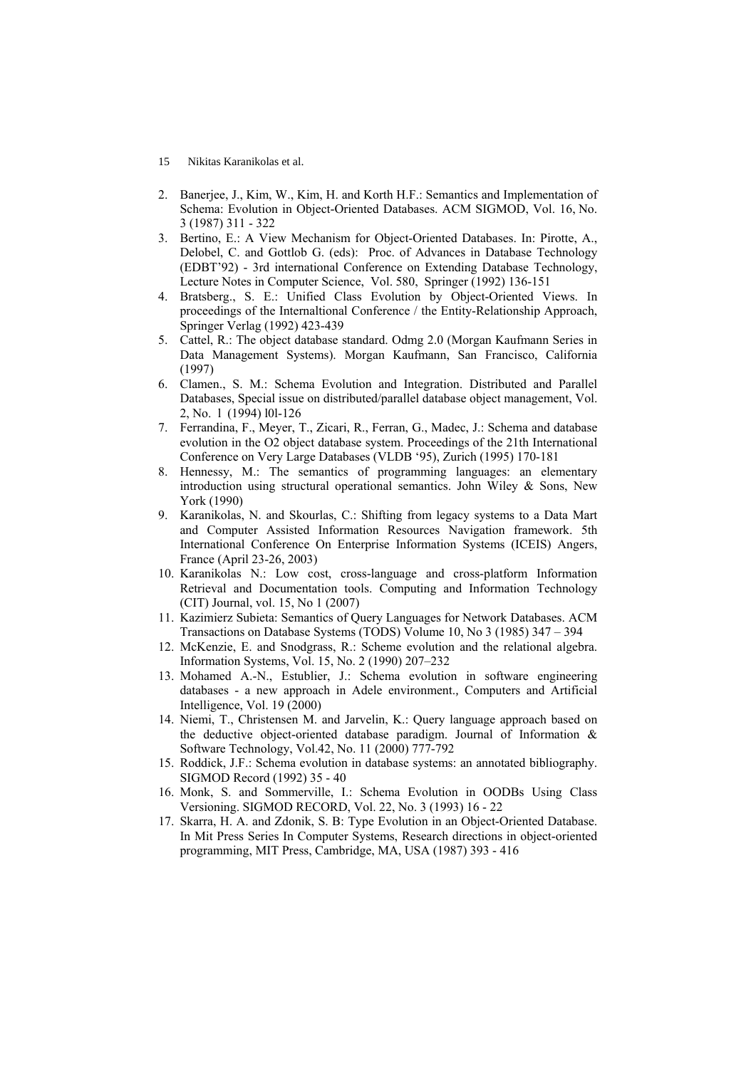- 15 Nikitas Karanikolas et al.
- 2. Banerjee, J., Kim, W., Kim, H. and Korth H.F.: Semantics and Implementation of Schema: Evolution in Object-Oriented Databases. ACM SIGMOD, Vol. 16, No. 3 (1987) 311 - 322
- 3. Bertino, E.: A View Mechanism for Object-Oriented Databases. In: Pirotte, A., Delobel, C. and Gottlob G. (eds): Proc. of Advances in Database Technology (EDBT'92) - 3rd international Conference on Extending Database Technology, Lecture Notes in Computer Science, Vol. 580, Springer (1992) 136-151
- 4. Bratsberg., S. E.: Unified Class Evolution by Object-Oriented Views. In proceedings of the Internaltional Conference / the Entity-Relationship Approach, Springer Verlag (1992) 423-439
- 5. Cattel, R.: The object database standard. Odmg 2.0 (Morgan Kaufmann Series in Data Management Systems). Morgan Kaufmann, San Francisco, California (1997)
- 6. Clamen., S. M.: Schema Evolution and Integration. Distributed and Parallel Databases, Special issue on distributed/parallel database object management, Vol. 2, No. l (1994) l0l-126
- 7. Ferrandina, F., Meyer, T., Zicari, R., Ferran, G., Madec, J.: Schema and database evolution in the O2 object database system. Proceedings of the 21th International Conference on Very Large Databases (VLDB '95), Zurich (1995) 170-181
- 8. Hennessy, M.: The semantics of programming languages: an elementary introduction using structural operational semantics. John Wiley  $\&$  Sons, New York (1990)
- 9. Karanikolas, N. and Skourlas, C.: Shifting from legacy systems to a Data Mart and Computer Assisted Information Resources Navigation framework. 5th International Conference On Enterprise Information Systems (ICEIS) Angers, France (April 23-26, 2003)
- 10. Karanikolas N.: Low cost, cross-language and cross-platform Information Retrieval and Documentation tools. Computing and Information Technology (CIT) Journal, vol. 15, No 1 (2007)
- 11. Kazimierz Subieta: Semantics of Query Languages for Network Databases. ACM Transactions on Database Systems (TODS) Volume 10, No 3 (1985) 347 – 394
- 12. McKenzie, E. and Snodgrass, R.: Scheme evolution and the relational algebra. Information Systems, Vol. 15, No. 2 (1990) 207–232
- 13. Mohamed A.-N., Estublier, J.: Schema evolution in software engineering databases - a new approach in Adele environment.*,* Computers and Artificial Intelligence, Vol. 19 (2000)
- 14. Niemi, T., Christensen M. and Jarvelin, K.: Query language approach based on the deductive object-oriented database paradigm. Journal of Information & Software Technology, Vol.42, No. 11 (2000) 777-792
- 15. Roddick, J.F.: Schema evolution in database systems: an annotated bibliography. SIGMOD Record (1992) 35 - 40
- 16. Monk, S. and Sommerville, I.: Schema Evolution in OODBs Using Class Versioning. SIGMOD RECORD, Vol. 22, No. 3 (1993) 16 - 22
- 17. Skarra, H. A. and Zdonik, S. B: Type Evolution in an Object-Oriented Database. In Mit Press Series In Computer Systems, Research directions in object-oriented programming, MIT Press, Cambridge, MA, USA (1987) 393 - 416